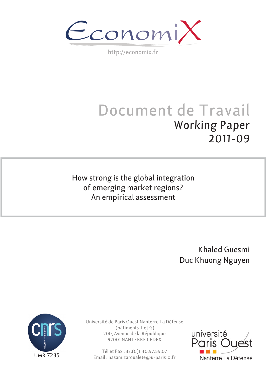$\epsilon$ conomi)

http://economix.fr

# Document de Travail Working Paper 2011-09

How strong is the global integration of emerging market regions? An empirical assessment

> Khaled Guesmi Duc Khuong Nguyen



Université de Paris Ouest Nanterre La Défense (bâtiments T et G) 200, Avenue de la République 92001 NANTERRE CEDEX

Tél et Fax : 33.(0)1.40.97.59.07 Email : nasam.zaroualete@u-paris10.fr

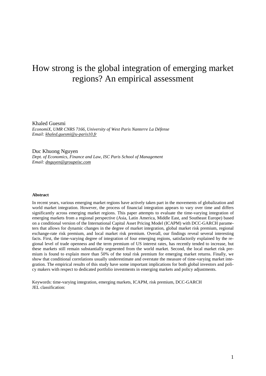## How strong is the global integration of emerging market regions? An empirical assessment

Khaled Guesmi *EconomiX, UMR CNRS 7166, University of West Paris Nanterre La Défense Email[: khaled.guesmi@u-paris10.fr](mailto:khaled.guesmi@u-paris10.fr)*

Duc Khuong Nguyen *Dept. of Economics, Finance and Law, ISC Paris School of Management Email[: dnguyen@groupeisc.com](mailto:dnguyen@groupeisc.com)*

#### **Abstract**

In recent years, various emerging market regions have actively taken part in the movements of globalization and world market integration. However, the process of financial integration appears to vary over time and differs significantly across emerging market regions. This paper attempts to evaluate the time-varying integration of emerging markets from a regional perspective (Asia, Latin America, Middle East, and Southeast Europe) based on a conditional version of the International Capital Asset Pricing Model (ICAPM) with DCC-GARCH parameters that allows for dynamic changes in the degree of market integration, global market risk premium, regional exchange-rate risk premium, and local market risk premium. Overall, our findings reveal several interesting facts. First, the time-varying degree of integration of four emerging regions, satisfactorily explained by the regional level of trade openness and the term premium of US interest rates, has recently tended to increase, but these markets still remain substantially segmented from the world market. Second, the local market risk premium is found to explain more than 50% of the total risk premium for emerging market returns. Finally, we show that conditional correlations usually underestimate and overstate the measure of time-varying market integration. The empirical results of this study have some important implications for both global investors and policy makers with respect to dedicated portfolio investments in emerging markets and policy adjustments.

Keywords: time-varying integration, emerging markets, ICAPM, risk premium, DCC-GARCH JEL classification: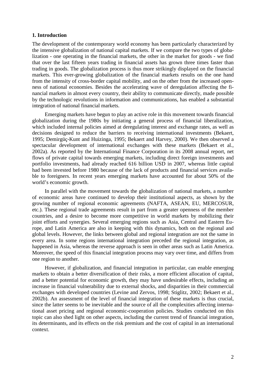#### **1. Introduction**

The development of the contemporary world economy has been particularly characterized by the intensive globalization of national capital markets. If we compare the two types of globalization - one operating in the financial markets, the other in the market for goods - we find that over the last fifteen years trading in financial assets has grown three times faster than trading in goods. The globalization process is thus more strikingly displayed on the financial markets. This ever-growing globalization of the financial markets results on the one hand from the intensity of cross-border capital mobility, and on the other from the increased openness of national economies. Besides the accelerating wave of deregulation affecting the financial markets in almost every country, their ability to communicate directly, made possible by the technologic revolutions in information and communications, has enabled a substantial integration of national financial markets.

Emerging markets have begun to play an active role in this movement towards financial globalization during the 1980s by initiating a general process of financial liberalization, which included internal policies aimed at deregulating interest and exchange rates, as well as decisions designed to reduce the barriers to receiving international investments (Bekaert, 1995; Demirgüç-Kunt and Huizinga, 1995; Bekaert and Harvey, 2000). We then observed a spectacular development of international exchanges with these markets (Bekaert et al., 2002a). As reported by the International Finance Corporation in its 2008 annual report, net flows of private capital towards emerging markets, including direct foreign investments and portfolio investments, had already reached 616 billion USD in 2007, whereas little capital had been invested before 1980 because of the lack of products and financial services available to foreigners. In recent years emerging markets have accounted for about 50% of the world's economic growth.

In parallel with the movement towards the globalization of national markets, a number of economic areas have continued to develop their institutional aspects, as shown by the growing number of regional economic agreements (NAFTA, ASEAN, EU, MERCOSUR, etc.). These regional trade agreements result in part from a greater openness of the member countries, and a desire to become more competitive in world markets by mobilizing their joint efforts and synergies. Several emerging regions such as Asia, Central and Eastern Europe, and Latin America are also in keeping with this dynamics, both on the regional and global levels. However, the links between global and regional integration are not the same in every area. In some regions international integration preceded the regional integration, as happened in Asia, whereas the reverse approach is seen in other areas such as Latin America. Moreover, the speed of this financial integration process may vary over time, and differs from one region to another.

However, if globalization, and financial integration in particular, can enable emerging markets to obtain a better diversification of their risks, a more efficient allocation of capital, and a better potential for economic growth, they may have undesirable effects, including an increase in financial vulnerability due to external shocks, and disparities in their commercial exchanges with developed countries (Levine and Zervos, 1998; Stiglitz, 2002; Bekaert et al., 2002b). An assessment of the level of financial integration of these markets is thus crucial, since the latter seems to be inevitable and the source of all the complexities affecting international asset pricing and regional economic-cooperation policies. Studies conducted on this topic can also shed light on other aspects, including the current trend of financial integration, its determinants, and its effects on the risk premium and the cost of capital in an international context.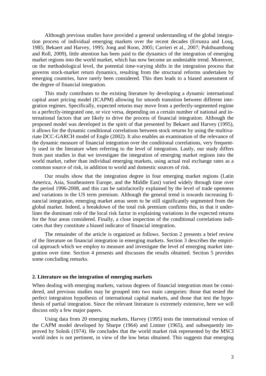Although previous studies have provided a general understanding of the global integration process of individual emerging markets over the recent decades (Errunza and Losq, 1985; Bekaert and Harvey, 1995; Jong and Roon, 2005; Carrieri et al., 2007; Pukthuanthong and Roll, 2009), little attention has been paid to the dynamics of the integration of emerging market regions into the world market, which has now become an undeniable trend. Moreover, on the methodological level, the potential time-varying shifts in the integration process that governs stock-market return dynamics, resulting from the structural reforms undertaken by emerging countries, have rarely been considered. This then leads to a biased assessment of the degree of financial integration.

This study contributes to the existing literature by developing a dynamic international capital asset pricing model (ICAPM) allowing for smooth transition between different integration regimes. Specifically, expected returns may move from a perfectly-segmented regime to a perfectly-integrated one, or vice versa, depending on a certain number of national and international factors that are likely to drive the process of financial integration. Although the proposed model was developed in the spirit of that presented by Bekaert and Harvey (1995), it allows for the dynamic conditional correlations between stock returns by using the multivariate DCC-GARCH model of Engle (2002). It also enables an examination of the relevance of the dynamic measure of financial integration over the conditional correlations, very frequently used in the literature when referring to the level of integration. Lastly, our study differs from past studies in that we investigate the integration of emerging market regions into the world market, rather than individual emerging markets, using actual real exchange rates as a common source of risk, in addition to world and domestic sources of risk.

Our results show that the integration degree in four emerging market regions (Latin America, Asia, Southeastern Europe, and the Middle East) varied widely through time over the period 1996-2008, and this can be satisfactorily explained by the level of trade openness and variations in the US term premium. Although the general trend is towards increasing financial integration, emerging market areas seem to be still significantly segmented from the global market. Indeed, a breakdown of the total risk premium confirms this, in that it underlines the dominant role of the local risk factor in explaining variations in the expected returns for the four areas considered. Finally, a close inspection of the conditional correlations indicates that they constitute a biased indicator of financial integration.

The remainder of the article is organized as follows. Section 2 presents a brief review of the literature on financial integration in emerging markets. Section 3 describes the empirical approach which we employ to measure and investigate the level of emerging market integration over time. Section 4 presents and discusses the results obtained. Section 5 provides some concluding remarks.

#### **2. Literature on the integration of emerging markets**

When dealing with emerging markets, various degrees of financial integration must be considered, and previous studies may be grouped into two main categories: those that tested the perfect integration hypothesis of international capital markets, and those that test the hypothesis of partial integration. Since the relevant literature is extremely extensive, here we will discuss only a few major papers.

Using data from 20 emerging markets, Harvey (1995) tests the international version of the CAPM model developed by Sharpe (1964) and Lintner (1965), and subsequently improved by Solnik (1974). He concludes that the world market risk represented by the MSCI world index is not pertinent, in view of the low betas obtained. This suggests that emerging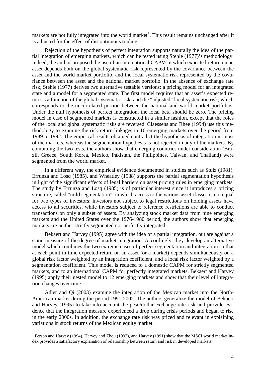markets are not fully integrated into the world market<sup>[1](#page-4-0)</sup>. This result remains unchanged after it is adjusted for the effect of discontinuous trading.

Rejection of the hypothesis of perfect integration supports naturally the idea of the partial integration of emerging markets, which can be tested using Stehle (1977)'s methodology. Indeed, the author proposed the use of an international CAPM in which expected return on an asset depends both on the global systematic risk represented by the covariance between the asset and the world market portfolio, and the local systematic risk represented by the covariance between the asset and the national market portfolio. In the absence of exchange rate risk, Stehle (1977) derives two alternative testable versions: a pricing model for an integrated state and a model for a segmented state. The first model requires that an asset's expected return is a function of the global systematic risk, and the "adjusted" local systematic risk, which corresponds to the uncorrelated portion between the national and world market portfolios. Under the null hypothesis of perfect integration, the local beta should be zero. The pricing model in case of segmented markets is constructed in a similar fashion, except that the roles of the local and global systematic risks are reversed. Claessens and Rhee (1994) use this methodology to examine the risk-return linkages in 16 emerging markets over the period from 1989 to 1992. The empirical results obtained contradict the hypothesis of integration in most of the markets, whereas the segmentation hypothesis is not rejected in any of the markets. By combining the two tests, the authors show that emerging countries under consideration (Brazil, Greece, South Korea, Mexico, Pakistan, the Philippines, Taiwan, and Thailand) were segmented from the world market.

In a different way, the empirical evidence documented in studies such as Stulz (1981), Errunza and Losq (1985), and Wheatley (1988) supports the partial segmentation hypothesis in light of the significant effects of legal barriers on asset pricing rules in emerging markets. The study by Errunza and Losq (1985) is of particular interest since it introduces a pricing structure, called "mild segmentation", in which access to the various asset classes is not equal for two types of investors: investors not subject to legal restrictions on holding assets have access to all securities, while investors subject to reference restrictions are able to conduct transactions on only a subset of assets. By analyzing stock market data from nine emerging markets and the United States over the 1976-1980 period, the authors show that emerging markets are neither strictly segmented nor perfectly integrated.

Bekaert and Harvey (1995) agree with the idea of a partial integration, but are against a static measure of the degree of market integration. Accordingly, they develop an alternative model which combines the two extreme cases of perfect segmentation and integration so that at each point in time expected return on an asset (or a market) depends simultaneously on a global risk factor weighted by an integration coefficient, and a local risk factor weighted by a segmentation coefficient. This model is reduced to a domestic CAPM for strictly segmented markets, and to an international CAPM for perfectly integrated markets. Bekaert and Harvey (1995) apply their nested model to 12 emerging markets and show that their level of integration changes over time.

Adler and Qi (2003) examine the integration of the Mexican market into the North-American market during the period 1991-2002. The authors generalize the model of Bekaert and Harvey (1995) to take into account the peso/dollar exchange rate risk and provide evidence that the integration measure experienced a drop during crisis periods and began to rise in the early 2000s. In addition, the exchange rate risk was priced and relevant in explaining variations in stock returns of the Mexican equity market.

<span id="page-4-0"></span><sup>&</sup>lt;sup>1</sup> Ferson and Harvey (1994), Harvey and Zhou (1993), and Harvey (1991) show that the MSCI world market index provides a satisfactory explanation of relationship between return and risk in developed markets.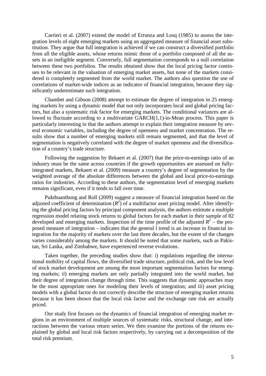Carrieri et al. (2007) extend the model of Errunza and Losq (1985) to assess the integration levels of eight emerging markets using an aggregated measure of financial asset substitution. They argue that full integration is achieved if we can construct a diversified portfolio from all the eligible assets, whose returns mimic those of a portfolio composed of all the assets in an ineligible segment. Conversely, full segmentation corresponds to a null correlation between these two portfolios. The results obtained show that the local pricing factor continues to be relevant in the valuation of emerging market assets, but none of the markets considered is completely segmented from the world market. The authors also question the use of correlations of market-wide indices as an indicator of financial integration, because they significantly underestimate such integration.

Chambet and Gibson (2008) attempt to estimate the degree of integration in 25 emerging markets by using a dynamic model that not only incorporates local and global pricing factors, but also a systematic risk factor for emerging markets. The conditional variances are allowed to fluctuate according to a multivariate GARCH(1,1)-in-Mean process. This paper is particularly interesting in that the authors attempt to explain their integration measure by several economic variables, including the degree of openness and market concentration. The results show that a number of emerging markets still remain segmented, and that the level of segmentation is negatively correlated with the degree of market openness and the diversification of a country's trade structure.

Following the suggestion by Bekaert et al. (2007) that the price-to-earnings ratio of an industry must be the same across countries if the growth opportunities are assessed on fullyintegrated markets, Bekaert et al. (2009) measure a country's degree of segmentation by the weighted average of the absolute differences between the global and local price-to-earnings ratios for industries. According to these authors, the segmentation level of emerging markets remains significant, even if it tends to fall over time.

Pukthuanthong and Roll (2009) suggest a measure of financial integration based on the adjusted coefficient of determination  $(R^2)$  of a multifactor asset pricing model. After identifying the global pricing factors by principal component analysis, the authors estimate a multiple regression model relating stock returns to global factors for each market in their sample of 82 developed and emerging markets. Inspection of the time profile of the adjusted  $R^2$  – the proposed measure of integration – indicates that the general l trend is an increase in financial integration for the majority of markets over the last three decades, but the extent of the changes varies considerably among the markets. It should be noted that some markets, such as Pakistan, Sri Lanka, and Zimbabwe, have experienced reverse evolutions.

Taken together, the preceding studies show that: *i*) regulations regarding the international mobility of capital flows, the diversified trade structure, political risk, and the low level of stock market development are among the most important segmentation factors for emerging markets; *ii*) emerging markets are only partially integrated into the world market, but their degree of integration change through time. This suggests that dynamic approaches may be the most appropriate ones for modeling their levels of integration; and *iii*) asset pricing models with a global factor do not correctly describe the structure of emerging market returns because it has been shown that the local risk factor and the exchange rate risk are actually priced.

Our study first focuses on the dynamics of financial integration of emerging market regions in an environment of multiple sources of systematic risks, structural change, and interactions between the various return series. We then examine the portions of the returns explained by global and local risk factors respectively, by carrying out a decomposition of the total risk premium.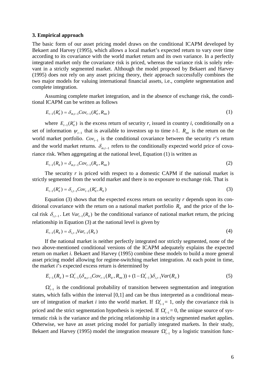#### **3. Empirical approach**

The basic form of our asset pricing model draws on the conditional ICAPM developed by Bekaert and Harvey (1995), which allows a local market's expected return to vary over time according to its covariance with the world market return and its own variance. In a perfectly integrated market only the covariance risk is priced, whereas the variance risk is solely relevant in a strictly segmented market. Although the model proposed by Bekaert and Harvey (1995) does not rely on any asset pricing theory, their approach successfully combines the two major models for valuing international financial assets, i.e., complete segmentation and complete integration.

Assuming complete market integration, and in the absence of exchange risk, the conditional ICAPM can be written as follows

$$
E_{t-1}(R_{it}^r) = \delta_{m,t-1}Cov_{t-1}(R_{it}^r, R_{mt})
$$
\n(1)

where  $E_{t-1}(R_i^r)$  is the excess return of security *r*, issued in country *i*, conditionally on a set of information  $\psi_{t-1}$  that is available to investors up to time *t*-1.  $R_{mt}$  is the return on the world market portfolio. *Cov*<sub> $t-1$  is the conditional covariance between the security *r*'s return</sub> and the world market returns.  $\delta_{m,t-1}$  refers to the conditionally expected world price of covariance risk. When aggregating at the national level, Equation (1) is written as

$$
E_{t-1}(R_{it}) = \delta_{m,t-1} Cov_{t-1}(R_{it}, R_{mt})
$$
\n(2)

The security *r* is priced with respect to a domestic CAPM if the national market is strictly segmented from the world market and there is no exposure to exchange risk. That is

$$
E_{t-1}(R_{it}^r) = \delta_{i,t-1} Cov_{t-1}(R_{it}^r, R_{it})
$$
\n(3)

Equation  $(3)$  shows that the expected excess return on security *r* depends upon its conditional covariance with the return on a national market portfolio  $R_{it}$  and the price of the local risk  $\delta_{i,t-1}$ . Let  $Var_{t-1}(R_i)$  be the conditional variance of national market return, the pricing relationship in Equation (3) at the national level is given by

$$
E_{t-1}(R_{it}) = \delta_{i,t-1}Var_{t-1}(R_{it})
$$
\n(4)

If the national market is neither perfectly integrated nor strictly segmented, none of the two above-mentioned conditional versions of the ICAPM adequately explains the expected return on market *i*. Bekaert and Harvey (1995) combine these models to build a more general asset pricing model allowing for regime-switching market integration. At each point in time*,*  the market *i*'s expected excess return is determined by

$$
E_{t-1}(R_{it}) = \Omega_{t-1}^{i}(\delta_{m,t-1}Cov_{t-1}(R_{it}, R_{mt})) + (1 - \Omega_{t-1}^{i})\delta_{i,t-1}Var(R_{it})
$$
\n(5)

 $\Omega_{t-1}^{i}$  is the conditional probability of transition between segmentation and integration states, which falls within the interval [0,1] and can be thus interpreted as a conditional measure of integration of market *i* into the world market. If  $\Omega_{t-1}^i = 1$ , only the covariance risk is priced and the strict segmentation hypothesis is rejected. If  $\Omega_{t-1}^i = 0$ , the unique source of systematic risk is the variance and the pricing relationship in a strictly segmented market applies. Otherwise, we have an asset pricing model for partially integrated markets. In their study, Bekaert and Harvey (1995) model the integration measure  $\Omega_{t-1}^i$  by a logistic transition func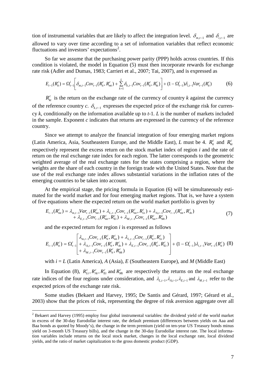tion of instrumental variables that are likely to affect the integration level.  $\delta_{m,t-1}$  and  $\delta_{i,t-1}$  are allowed to vary over time according to a set of information variables that reflect economic fluctuations and investors' expectations<sup>[2](#page-7-0)</sup>.

So far we assume that the purchasing power parity (PPP) holds across countries. If this condition is violated, the model in Equation (5) must then incorporate rewards for exchange rate risk (Adler and Dumas, 1983; Carrieri et al., 2007; Tai, 2007), and is expressed as

$$
E_{t-1}(R_{it}^c) = \Omega_{t-1}^i \bigg[ \delta_{m,t-1} Cov_{t-1}(R_{it}^c, R_{mt}^c) + \sum_{k=1}^L \delta_{k,t-1} Cov_{t-1}(R_{it}^c, R_{kt}^c) \bigg] + (1 - \Omega_{t-1}^i) \delta_{i,t-1} Var_{t-1}(R_{it}^c)
$$
(6)

 $R<sub>kt</sub><sup>c</sup>$  is the return on the exchange rate of the currency of country *k* against the currency of the reference country *c*.  $\delta_{k,t-1}$  expresses the expected price of the exchange risk for currency *k*, conditionally on the information available up to *t*-1*. L* is the number of markets included in the sample. Exponent *c* indicates that returns are expressed in the currency of the reference country.

Since we attempt to analyze the financial integration of four emerging market regions (Latin America, Asia, Southeastern Europe, and the Middle East), *L* must be 4.  $R_{it}^c$  and  $R_{kt}^c$ respectively represent the excess return on the stock market index of region *i* and the rate of return on the real exchange rate index for each region. The latter corresponds to the geometric weighted average of the real exchange rates for the states comprising a region, where the weights are the share of each country in the foreign trade with the United States. Note that the use of the real exchange rate index allows substantial variations in the inflation rates of the emerging countries to be taken into account.

At the empirical stage, the pricing formula in Equation (6) will be simultaneously estimated for the world market and for four emerging market regions. That is, we have a system of five equations where the expected return on the world market portfolio is given by

$$
E_{t-1}(R_{mt}^{c}) = \lambda_{m,t-1}Var_{t-1}(R_{mt}^{c}) + \lambda_{L,t-1}Cov_{t-1}(R_{mt}^{c}, R_{Lt}^{c}) + \lambda_{A,t-1}Cov_{t-1}(R_{mt}^{c}, R_{At}^{c}) + \lambda_{E,t-1}Cov_{t-1}(R_{mt}^{c}, R_{Et}^{c}) + \lambda_{M,t-1}Cov_{t-1}(R_{mt}^{c}, R_{Mt}^{c})
$$
\n(7)

and the expected return for region *i* is expressed as follows

$$
E_{t-1}(R_{it}^{c}) = \Omega_{t-1}^{i} \left| \begin{array}{l} \lambda_{m,t-1}Cov_{t-1}(R_{it}^{c}, R_{mt}^{c}) + \lambda_{L,t-1}Cov_{t-1}(R_{it}^{c}, R_{Lt}^{c}) \\ + \lambda_{A,t-1}Cov_{t-1}(R_{it}^{c}, R_{At}^{c}) + \lambda_{E,t-1}Cov_{t-1}(R_{it}^{c}, R_{Et}^{c}) \end{array} \right| + (1 - \Omega_{t-1}^{i})\lambda_{i,t-1}Var_{t-1}(R_{it}^{c}) \tag{8}
$$

with  $i = L$  (Latin America),  $A$  (Asia),  $E$  (Southeastern Europe), and  $M$  (Middle East)

In Equation (8),  $R_{Lt}^c$ ,  $R_{At}^c$ ,  $R_{Et}^c$  and  $R_{Mt}^c$  are respectively the returns on the real exchange rate indices of the four regions under consideration, and  $\lambda_{L,t-1}, \lambda_{L,t-1}, \lambda_{E,t-1}$  and  $\lambda_{M,t-1}$  refer to the expected prices of the exchange rate risk.

Some studies (Bekaert and Harvey, 1995; De Santis and Gérard, 1997; Gérard et al., 2003) show that the prices of risk, representing the degree of risk aversion aggregate over all

<span id="page-7-0"></span><sup>&</sup>lt;sup>2</sup> Bekaert and Harvey (1995) employ four global instrumental variables: the dividend yield of the world market in excess of the 30-day Eurodollar interest rate, the default premium (differences between yields on Aaa and Baa bonds as quoted by Moody's), the change in the term premium (yield on ten-year US Treasury bonds minus yield on 3-month US Treasury bills), and the change in the 30-day Eurodollar interest rate. The local information variables include returns on the local stock market, changes in the local exchange rate, local dividend yields, and the ratio of market capitalization to the gross domestic product (GDP).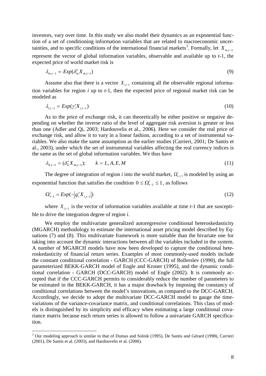investors, vary over time. In this study we also model their dynamics as an exponential function of a set of conditioning information variables that are related to macroeconomic uncer-tainties, and to specific conditions of the international financial markets<sup>[3](#page-8-0)</sup>. Formally, let  $X_{m,t-1}$ represent the vector of global information variables, observable and available up to *t*-1*,* the expected price of world market risk is

$$
\lambda_{m,t-1} = Exp(\delta'_m X_{m,t-1})
$$
\n(9)

Assume also that there is a vector  $X_{i,t-1}$  containing all the observable regional information variables for region *i* up to *t*-1, then the expected price of regional market risk can be modeled as

$$
\lambda_{i,t-1} = Exp(\gamma_i' X_{i,t-1}) \tag{10}
$$

As to the price of exchange risk, it can theoretically be either positive or negative depending on whether the inverse ratio of the level of aggregate risk aversion is greater or less than one (Adler and Qi, 2003; Hardouvelis et al., 2006). Here we consider the real price of exchange risk, and allow it to vary in a linear fashion, according to a set of instrumental variables. We also make the same assumption as the earlier studies (Carrieri, 2001; De Santis et al., 2003), under which the set of instrumental variables affecting the real currency indices is the same as the set of global information variables. We thus have

$$
\lambda_{k,t-1} = (\delta_k' X_{m,t-1}); \qquad k = L, A, E, M \tag{11}
$$

The degree of integration of region *i* into the world market,  $\Omega_{i-1}^i$ , is modeled by using an exponential function that satisfies the condition  $0 \le \Omega_{t-1}^i \le 1$ , as follows

$$
\Omega_{t-1}^i = Exp(-|g_i'X_{i,t-1}|) \tag{12}
$$

where *X*<sub>*i*, $t$ −1</sub> is the vector of information variables available at time  $t$ -1 that are susceptible to drive the integration degree of region *i*.

We employ the multivariate generalized autoregressive conditional heteroskedasticity (MGARCH) methodology to estimate the international asset pricing model described by Equations (7) and (8). This multivariate framework is more suitable than the bivariate one for taking into account the dynamic interactions between all the variables included in the system. A number of MGARCH models have now been developed to capture the conditional heteroskedasticity of financial return series. Examples of most commonly-used models include the constant conditional correlation - GARCH (CCC-GARCH) of Bollerslev (1990), the full parameterized BEKK-GARCH model of Engle and Kroner (1995), and the dynamic conditional correlation - GARCH (DCC-GARCH) model of Engle (2002). It is commonly accepted that if the CCC-GARCH permits to considerably reduce the number of parameters to be estimated in the BEKK-GARCH, it has a major drawback by imposing the constancy of conditional correlations between the model's innovations, as compared to the DCC-GARCH. Accordingly, we decide to adopt the multivariate DCC-GARCH model to gauge the timevariations of the variance-covariance matrix, and conditional correlations. This class of models is distinguished by its simplicity and efficacy when estimating a large conditional covariance matrix because each return series is allowed to follow a univariate GARCH specification.

<span id="page-8-0"></span><sup>&</sup>lt;sup>3</sup> Our modeling approach is similar to that of Dumas and Solnik (1995), De Santis and Gérard (1998), Carrieri (2001), De Santis et al. (2003), and Hardouvelis et al. (2006).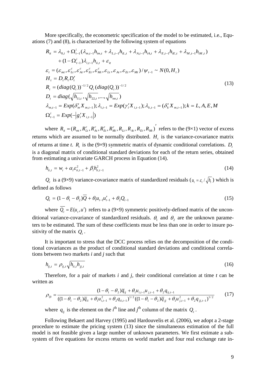More specifically, the econometric specification of the model to be estimated, i.e., Equations (7) and (8), is characterized by the following system of equations

$$
R_{it} = \lambda_{0,i} + \Omega_{t-1}^{i} (\lambda_{m,t-1} h_{im,t} + \lambda_{L,t-1} h_{iL,t} + \lambda_{A,t-1} h_{iA,t} + \lambda_{E,t-1} h_{iE,t} + \lambda_{M,t-1} h_{iM,t})
$$
  
+  $(1 - \Omega_{t-1}^{i}) \lambda_{i,t-1} h_{ii,t} + \varepsilon_{it}$   
 $\varepsilon_{t} = (\varepsilon_{mt}, \varepsilon_{Lt}^{c}, \varepsilon_{At}^{c}, \varepsilon_{Et}^{c}, \varepsilon_{Mt}^{c}, \varepsilon_{Lt}, \varepsilon_{Lt}, \varepsilon_{Lt}, \varepsilon_{Mt}) / \psi_{t-1} \sim N(0, H_{t})$   
 $H_{t} = D_{t} R_{t} D_{t}'$   
 $R_{t} = (diag(Q_{t}))^{-1/2} Q_{t} (diag(Q_{t}))^{-1/2}$   
 $D_{t} = diag(\sqrt{h_{1,t}}, \sqrt{h_{22,t}}, ..., \sqrt{h_{m,t}})$   
 $\lambda_{m,t-1} = Exp(\delta_{m}^{t} X_{m,t-1}); \lambda_{i,t-1} = Exp(\gamma_{i}^{t} X_{i,t-1}); \lambda_{k,t-1} = (\delta_{k}^{t} X_{m,t-1}); k = L, A, E, M$   
 $\Omega_{t-1}^{i} = Exp(-|g_{i}^{t} X_{i,t-1}|)$  (13)

where  $R_{it} = (R_{mt}, R_{Lt}^c, R_{At}^c, R_{Et}^c, R_{Mt}^c, R_{Lt}, R_{At}, R_{Et}, R_{Mt})'$ *Mt c Et c*  $R_{it} = (R_{mt}, R_{Lt}^c, R_{At}^c, R_{Bt}^c, R_{Mt}^c, R_{Lt}, R_{At}, R_{Et}, R_{Mt})$  refers to the (9×1) vector of excess returns which are assumed to be normally distributed.  $H_t$  is the variance-covariance matrix of returns at time *t*.  $R_t$  is the (9×9) symmetric matrix of dynamic conditional correlations.  $D_t$ is a diagonal matrix of conditional standard deviations for each of the return series, obtained from estimating a univariate GARCH process in Equation (14).

$$
h_{ii,t} = w_i + \alpha_i \varepsilon_{ii,t-1}^2 + \beta_i h_{ii,t-1}^2
$$
 (14)

*Q<sub>t</sub>* is a (9×9) variance-covariance matrix of standardized residuals ( $u_t = \varepsilon_t / \sqrt{h_t}$ ) which is defined as follows

$$
Q_{t} = (1 - \theta_{1} - \theta_{2})\overline{Q} + \theta_{1}u_{t-1}u_{t-1}' + \theta_{2}Q_{t-1}
$$
\n(15)

where  $\overline{Q_t} = E(u_t, u')$  refers to a (9×9) symmetric positively-defined matrix of the unconditional variance-covariance of standardized residuals.  $\theta_1$  and  $\theta_2$  are the unknown parameters to be estimated. The sum of these coefficients must be less than one in order to insure positivity of the matrix  $Q_t$ .

It is important to stress that the DCC process relies on the decomposition of the conditional covariances as the product of conditional standard deviations and conditional correlations between two markets *i* and *j* such that

$$
h_{ij,t} = \rho_{ij,t} \sqrt{h_{ii,t} h_{jj,t}} \tag{16}
$$

Therefore, for a pair of markets *i* and *j*, their conditional correlation at time *t* can be written as

$$
\rho_{ijt} = \frac{(1 - \theta_1 - \theta_2)\overline{q}_{ij} + \theta_1 u_{i,t-1} u_{j,t-1} + \theta_2 q_{ij,t-1}}{((1 - \theta_1 - \theta_2)\overline{q}_{ii} + \theta_1 u_{i,t-1}^2 + \theta_2 q_{ii,t-1})^{1/2}((1 - \theta_1 - \theta_2)\overline{q}_{jj} + \theta_1 u_{j,t-1}^2 + \theta_2 q_{jj,t-1})^{1/2}}
$$
(17)

where  $q_{ij}$  is the element on the *i*<sup>th</sup> line and *j*<sup>th</sup> column of the matrix  $Q_t$ .

Following Bekaert and Harvey (1995) and Hardouvelis et al. (2006), we adopt a 2-stage procedure to estimate the pricing system (13) since the simultaneous estimation of the full model is not feasible given a large number of unknown parameters. We first estimate a subsystem of five equations for excess returns on world market and four real exchange rate in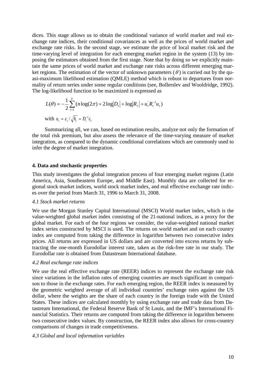dices. This stage allows us to obtain the conditional variance of world market and real exchange rate indices, their conditional covariances as well as the prices of world market and exchange rate risks. In the second stage, we estimate the price of local market risk and the time-varying level of integration for each emerging market region in the system (13) by imposing the estimators obtained from the first stage. Note that by doing so we explicitly maintain the same prices of world market and exchange rate risks across different emerging market regions. The estimation of the vector of unknown parameters ( $\theta$ ) is carried out by the quasi-maximum likelihood estimation (QMLE) method which is robust to departures from normality of return series under some regular conditions (see, Bollerslev and Wooldridge, 1992). The log-likelihood function to be maximized is expressed as

$$
L(\theta) = -\frac{1}{2} \sum_{t=1}^{T} (n \log(2\pi) + 2 \log |D_t| + \log |R_t| + u_t R_t^{-1} u_t)
$$
  
with  $u_t = \varepsilon_t / \sqrt{h_t} = D_t^{-1} \varepsilon_t$ 

Summarizing all, we can, based on estimation results, analyze not only the formation of the total risk premium, but also assess the relevance of the time-varying measure of market integration, as compared to the dynamic conditional correlations which are commonly used to infer the degree of market integration.

#### **4. Data and stochastic properties**

This study investigates the global integration process of four emerging market regions (Latin America, Asia, Southeastern Europe, and Middle East). Monthly data are collected for regional stock market indices, world stock market index, and real effective exchange rate indices over the period from March 31, 1996 to March 31, 2008.

#### *4.1 Stock market returns*

We use the Morgan Stanley Capital International (MSCI) World market index, which is the value-weighted global market index consisting of the 21-national indices, as a proxy for the global market. For each of the four regions we consider, the value-weighted national market index series constructed by MSCI is used. The returns on world market and on each country index are computed from taking the difference in logarithm between two consecutive index prices. All returns are expressed in US dollars and are converted into excess returns by subtracting the one-month Eurodollar interest rate, taken as the risk-free rate in our study. The Eurodollar rate is obtained from Datastream International database.

#### *4.2 Real exchange rate indices*

We use the real effective exchange rate (REER) indices to represent the exchange rate risk since variations in the inflation rates of emerging countries are much significant in comparison to those in the exchange rates. For each emerging region, the REER index is measured by the geometric weighted average of all individual countries' exchange rates against the US dollar, where the weights are the share of each country in the foreign trade with the United States. These indices are calculated monthly by using exchange rate and trade data from Datastream International, the Federal Reserve Bank of St Louis, and the IMF's International Financial Statistics. Their returns are computed from taking the difference in logarithm between two consecutive index values. By construction, the REER index also allows for cross-country comparisons of changes in trade competitiveness.

#### *4.3 Global and local information variables*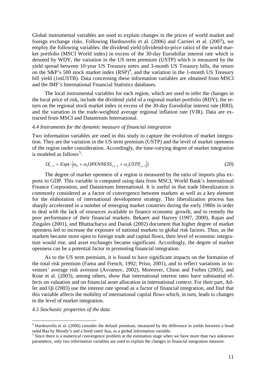Global instrumental variables are used to explain changes in the prices of world market and foreign exchange risks. Following Hardouvelis et al. (2006) and Carrieri et al. (2007), we employ the following variables: the dividend yield (dividend-to-price ratio) of the world market portfolio (MSCI World index) in excess of the 30-day Eurodollar interest rate which is denoted by WDY, the variation in the US term premium (USTP) which is measured by the yield spread between 10-year US Treasury notes and 3-month US Treasury bills, the return on the S&P's 500 stock market index  $(RSP)^4$  $(RSP)^4$ , and the variation in the 1-month US Treasury bill yield (1mUSTB). Data concerning these information variables are obtained from MSCI and the IMF's International Financial Statistics databases*.*

The local instrumental variables for each region, which are used to infer the changes in the local price of risk, include the dividend yield of a regional market portfolio (RDY), the return on the regional stock market index in excess of the 30-day Eurodollar interest rate (RRI), and the variation in the trade-weighted average regional inflation rate (VIR). Data are extracted from MSCI and Datastream International.

#### *4.4 Instruments for the dynamic measure of financial integration*

Two information variables are used in this study to capture the evolution of market integration. They are the variation in the US term premium (USTP) and the level of market openness of the region under consideration. Accordingly, the time-varying degree of market integration is modeled as follows<sup>[5](#page-11-1)</sup>:

$$
\Omega_{t-1}^i = Exp(-|\alpha_0 + \alpha_1 OPENNESS_{i,t-1} + \alpha_2 USTP_{i,t-1}|)
$$
\n(20)

The degree of market openness of a region is measured by the ratio of imports plus exports to GDP. This variable is computed using data from MSCI, World Bank's International Finance Corporation, and Datastream International. It is useful in that trade liberalization is commonly considered as a factor of convergence between markets as well as a key element for the elaboration of international development strategy. This liberalization process has sharply accelerated in a number of emerging market countries during the early 1980s in order to deal with the lack of resources available to finance economic growth, and to remedy the poor performance of their financial markets. Bekaert and Harvey (1997, 2000), Rajan and Zingales (2001), and Bhattacharya and Daouk (2002) document that higher degree of market openness led to increase the exposure of national markets to global risk factors. Thus, as the markets became more open to foreign trade and capital flows, their level of economic integration would rise, and asset exchanges became significant. Accordingly, the degree of market openness can be a potential factor in promoting financial integration.

As to the US term premium, it is found to have significant impacts on the formation of the total risk premium (Fama and French, 1992; Priso, 2001), and to reflect variations in investors' average risk aversion (Avramov, 2002). Moreover, Chinn and Forbes (2003), and Kose et al. (2003), among others, show that international interest rates have substantial effects on valuation and on financial asset allocation in international context. For their part, Adler and Qi (2003) use the interest rate spread as a factor of financial integration, and find that this variable affects the mobility of international capital flows which, in turn, leads to changes in the level of market integration.

#### *4.5 Stochastic properties of the data*

<span id="page-11-0"></span><sup>&</sup>lt;sup>4</sup> Hardouvelis et al. (2006) consider the default premium, measured by the difference in yields between a bond

<span id="page-11-1"></span><sup>&</sup>lt;sup>5</sup> Since there is a numerical convergence problem at the estimation stage when we have more than two unknown<sup>5</sup> Since there is a numerical convergence problem at the estimation stage when we have more than two unknown parameters, only two information variables are used to explain the changes in financial integration measure.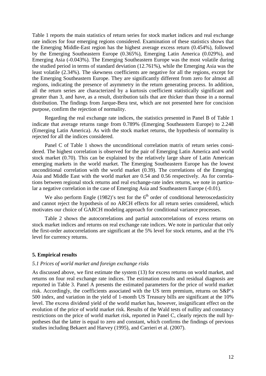Table 1 reports the main statistics of return series for stock market indices and real exchange rate indices for four emerging regions considered. Examination of these statistics shows that the Emerging Middle-East region has the highest average excess return (0.454%), followed by the Emerging Southeastern Europe (0.365%), Emerging Latin America (0.029%), and Emerging Asia (-0.043%). The Emerging Southeastern Europe was the most volatile during the studied period in terms of standard deviation (12.761%), while the Emerging Asia was the least volatile (2.34%). The skewness coefficients are negative for all the regions, except for the Emerging Southeastern Europe. They are significantly different from zero for almost all regions, indicating the presence of asymmetry in the return generating process. In addition, all the return series are characterized by a kurtosis coefficient statistically significant and greater than 3, and have, as a result, distribution tails that are thicker than those in a normal distribution. The findings from Jarque-Bera test, which are not presented here for concision purpose, confirm the rejection of normality.

Regarding the real exchange rate indices, the statistics presented in Panel B of Table 1 indicate that average returns range from 0.789% (Emerging Southeastern Europe) to 2.248 (Emerging Latin America). As with the stock market returns, the hypothesis of normality is rejected for all the indices considered.

Panel C of Table 1 shows the unconditional correlation matrix of return series considered. The highest correlation is observed for the pair of Emerging Latin America and world stock market (0.70). This can be explained by the relatively large share of Latin American emerging markets in the world market. The Emerging Southeastern Europe has the lowest unconditional correlation with the world market (0.39). The correlations of the Emerging Asia and Middle East with the world market are 0.54 and 0.56 respectively. As for correlations between regional stock returns and real exchange-rate index returns, we note in particular a negative correlation in the case of Emerging Asia and Southeastern Europe (-0.01).

We also perform Engle (1982)'s test for the  $6<sup>th</sup>$  order of conditional heteroscedasticity and cannot reject the hypothesis of no ARCH effects for all return series considered, which motivates our choice of GARCH modeling approach for conditional variance processes.

Table 2 shows the autocorrelations and partial autocorrelations of excess returns on stock market indices and returns on real exchange rate indices. We note in particular that only the first-order autocorrelations are significant at the 5% level for stock returns, and at the 1% level for currency returns.

#### **5. Empirical results**

#### *5.1 Prices of world market and foreign exchange risks*

As discussed above, we first estimate the system (13) for excess returns on world market, and returns on four real exchange rate indices. The estimation results and residual diagnosis are reported in Table 3. Panel A presents the estimated parameters for the price of world market risk. Accordingly, the coefficients associated with the US term premium, returns on S&P's 500 index, and variation in the yield of 1-month US Treasury bills are significant at the 10% level. The excess dividend yield of the world market has, however, insignificant effect on the evolution of the price of world market risk. Results of the Wald tests of nullity and constancy restrictions on the price of world market risk, reported in Panel C, clearly rejects the null hypotheses that the latter is equal to zero and constant, which confirms the findings of previous studies including Bekaert and Harvey (1995), and Carrieri et al. (2007).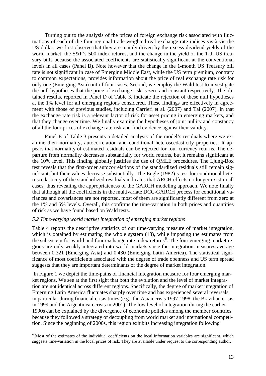Turning out to the analysis of the prices of foreign exchange risk associated with fluctuations of each of the four regional trade-weighted real exchange rate indices vis-à-vis the US dollar, we first observe that they are mainly driven by the excess dividend yields of the world market, the S&P's 500 index returns, and the change in the yield of the 1-th US treasury bills because the associated coefficients are statistically significant at the conventional levels in all cases (Panel B). Note however that the change in the 1-month US Treasury bill rate is not significant in case of Emerging Middle East, while the US term premium, contrary to common expectations, provides information about the price of real exchange rate risk for only one (Emerging Asia) out of four cases. Second, we employ the Wald test to investigate the null hypotheses that the price of exchange risk is zero and constant respectively. The obtained results, reported in Panel D of Table 3, indicate the rejection of these null hypotheses at the 1% level for all emerging regions considered. These findings are effectively in agreement with those of previous studies, including Carrieri et al. (2007) and Tai (2007), in that the exchange rate risk is a relevant factor of risk for asset pricing in emerging markets, and that they change over time. We finally examine the hypotheses of joint nullity and constancy of all the four prices of exchange rate risk and find evidence against their validity.

Panel E of Table 3 presents a detailed analysis of the model's residuals where we examine their normality, autocorrelation and conditional heteroscedasticity properties. It appears that normality of estimated residuals can be rejected for four currency returns. The departure from normality decreases substantially for world returns, but it remains significant at the 10% level. This finding globally justifies the use of QMLE procedures. The Ljung-Box test reveals that the first-order autocorrelations of the standardized residuals still remain significant, but their values decrease substantially. The Engle (1982)'s test for conditional heteroscedasticity of the standardized residuals indicates that ARCH effects no longer exist in all cases, thus revealing the appropriateness of the GARCH modeling approach. We note finally that although all the coefficients in the multivariate DCC-GARCH process for conditional variances and covariances are not reported, most of them are significantly different from zero at the 1% and 5% levels. Overall, this confirms the time-variation in both prices and quantities of risk as we have found based on Wald tests.

#### *5.2 Time-varying world market integration of emerging market regions*

Table 4 reports the descriptive statistics of our time-varying measure of market integration, which is obtained by estimating the whole system  $(13)$ , while imposing the estimates from the subsystem for world and four exchange rate index returns<sup>[6](#page-13-0)</sup>. The four emerging market regions are only weakly integrated into world markets since the integration measures average between 0.321 (Emerging Asia) and 0.430 (Emerging Latin America). The statistical significance of most coefficients associated with the degree of trade openness and US term spread suggests that they are important determinants of the degree of market integration.

In Figure 1 we depict the time-paths of financial integration measure for four emerging market regions. We see at the first sight that both the evolution and the level of market integration are not identical across different regions. Specifically, the degree of market integration of Emerging Latin America fluctuates sharply over time and has experienced several reversals, in particular during financial crisis times (e.g., the Asian crisis 1997-1998, the Brazilian crisis in 1999 and the Argentinean crisis in 2001). The low level of integration during the earlier 1990s can be explained by the divergence of economic policies among the member countries because they followed a strategy of decoupling from world market and international competition. Since the beginning of 2000s, this region exhibits increasing integration following

<span id="page-13-0"></span><sup>&</sup>lt;sup>6</sup> Most of the estimates of the individual coefficients on the local information variables are significant, which suggests time-variation in the local prices of risk. They are available under request to the corresponding author.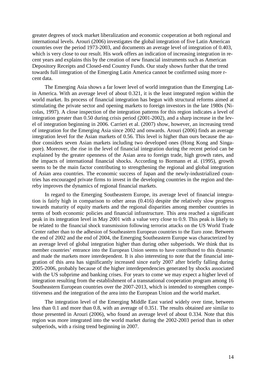greater degrees of stock market liberalization and economic cooperation at both regional and international levels. Arouri (2006) investigates the global integration of five Latin American countries over the period 1973-2003, and documents an average level of integration of 0.403, which is very close to our result. His work offers an indication of increasing integration in recent years and explains this by the creation of new financial instruments such as American Depository Receipts and Closed-end Country Funds. Our study shows further that the trend towards full integration of the Emerging Latin America cannot be confirmed using more rcent data.

The Emerging Asia shows a far lower level of world integration than the Emerging Latin America. With an average level of about 0.321, it is the least integrated region within the world market. Its process of financial integration has begun with structural reforms aimed at stimulating the private sector and opening markets to foreign investors in the late 1980s (Nicolas, 1997). A close inspection of the integration patterns for this region indicates a level of integration greater than 0.50 during crisis period (2001-2002), and a sharp increase in the level of integration beginning in 2006. Carrieri et al. (2007) show, however, an increasing trend of integration for the Emerging Asia since 2002 and onwards. Arouri (2006) finds an average integration level for the Asian markets of 0.56. This level is higher than ours because the author considers seven Asian markets including two developed ones (Hong Kong and Singapore). Moreover, the rise in the level of financial integration during the recent period can be explained by the greater openness of the Asian area to foreign trade, high growth rates, and the impacts of international financial shocks. According to Bormann et al. (1995), growth seems to be the main factor contributing to strengthening the regional and global integration of Asian area countries. The economic success of Japan and the newly-industrialized countries has encouraged private firms to invest in the developing countries in the region and thereby improves the dynamics of regional financial markets.

In regard to the Emerging Southeastern Europe, its average level of financial integration is fairly high in comparison to other areas (0.416) despite the relatively slow progress towards maturity of equity markets and the regional disparities among member countries in terms of both economic policies and financial infrastructure. This area reached a significant peak in its integration level in May 2001 with a value very close to 0.9. This peak is likely to be related to the financial shock transmission following terrorist attacks on the US World Trade Center rather than to the adhesion of Southeastern European countries to the Euro zone. Between the end of 2002 and the end of 2004, the Emerging Southeastern Europe was characterized by an average level of global integration higher than during other subperiods. We think that its member countries' entrance into the European Union seems to have contributed to this dynamic and made the markets more interdependent. It is also interesting to note that the financial integration of this area has significantly increased since early 2007 after briefly falling during 2005-2006, probably because of the higher interdependencies generated by shocks associated with the US subprime and banking crises. For years to come we may expect a higher level of integration resulting from the establishment of a transnational cooperation program among 16 Southeastern European countries over the 2007-2013, which is intended to strengthen competitiveness and the integration of the area into the European Union and the world market.

The integration level of the Emerging Middle East varied widely over time, between less than 0.1 and more than 0.8, with an average of 0.351. The results obtained are similar to those presented in Arouri (2006), who found an average level of about 0.334. Note that this region was more integrated into the world market during the 2002-2003 period than in other subperiods, with a rising trend beginning in 2007.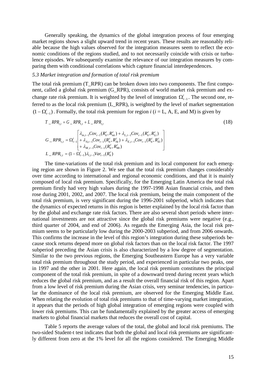Generally speaking, the dynamics of the global integration process of four emerging market regions shows a slight upward trend in recent years. These results are reasonably reliable because the high values observed for the integration measures seem to reflect the economic conditions of the regions studied, and to not necessarily coincide with crisis or turbulence episodes. We subsequently examine the relevance of our integration measures by comparing them with conditional correlations which capture financial interdependences.

#### *5.3 Market integration and formation of total risk premium*

The total risk premium (T\_RPR) can be broken down into two components. The first component, called a global risk premium (G\_RPR), consists of world market risk premium and exchange rate risk premium. It is weighted by the level of integration  $\Omega_{t-1}^i$ . The second one, referred to as the local risk premium (L\_RPR), is weighted by the level of market segmentation  $(1 - \Omega_{t-1}^i)$ . Formally, the total risk premium for region *i* (*i* = L, A, E, and M) is given by

$$
T \,_RPR_{i,t} = G \,_RPR_{i,t} + L \,_RPR_{i,t}
$$
\n
$$
G \,_RPR_{i,t} = \Omega_{t-1}^i \left[ \lambda_{m,t-1}Cov_{t-1}(R_{it}^c, R_{mt}^c) + \lambda_{L,t-1}Cov_{t-1}(R_{it}^c, R_{Lt}^c) \right]
$$
\n
$$
G \,_RPR_{i,t} = \Omega_{t-1}^i \left[ + \lambda_{A,t-1}Cov_{t-1}(R_{it}^c, R_{At}^c) + \lambda_{E,t-1}Cov_{t-1}(R_{it}^c, R_{Et}^c) \right]
$$
\n
$$
L \,_RPR_{i,t} = (1 - \Omega_{t-1}^i)\lambda_{i,t-1}Var_{t-1}(R_{it}^c)
$$
\n
$$
(18)
$$

The time-variations of the total risk premium and its local component for each emerging region are shown in Figure 2. We see that the total risk premium changes considerably over time according to international and regional economic conditions, and that it is mainly composed of local risk premium. Specifically, for the Emerging Latin America the total risk premium firstly had very high values during the 1997-1998 Asian financial crisis, and then rose during 2001, 2002, and 2007. The local risk premium, being the main component of the total risk premium, is very significant during the 1996-2001 subperiod, which indicates that the dynamics of expected returns in this region is better explained by the local risk factor than by the global and exchange rate risk factors. There are also several short periods where international investments are not attractive since the global risk premiums were negative (e.g., third quarter of 2004, and end of 2006). As regards the Emerging Asia, the local risk premium seems to be particularly low during the 2000-2003 subperiod, and from 2006 onwards. This confirms the increase in the level of this region's integration during these subperiods because stock returns depend more on global risk factors than on the local risk factor. The 1997 subperiod preceding the Asian crisis is also characterized by a low degree of segmentation. Similar to the two previous regions, the Emerging Southeastern Europe has a very variable total risk premium throughout the study period, and experienced in particular two peaks, one in 1997 and the other in 2001. Here again, the local risk premium constitutes the principal component of the total risk premium, in spite of a downward trend during recent years which reduces the global risk premium, and as a result the overall financial risk of this region. Apart from a low level of risk premium during the Asian crisis, very seminar tendencies, in particular the dominance of the local risk premium, are observed for the Emerging Middle East. When relating the evolution of total risk premiums to that of time-varying market integration, it appears that the periods of high global integration of emerging regions were coupled with lower risk premiums. This can be fundamentally explained by the greater access of emerging markets to global financial markets that reduces the overall cost of capital.

Table 5 reports the average values of the total, the global and local risk premiums. The two-sided Student-t test indicates that both the global and local risk premiums are significantly different from zero at the 1% level for all the regions considered. The Emerging Middle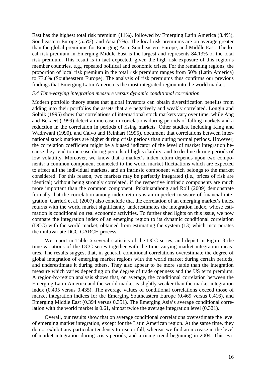East has the highest total risk premium (11%), followed by Emerging Latin America (8.4%), Southeastern Europe (5.5%), and Asia (5%). The local risk premiums are on average greater than the global premiums for Emerging Asia, Southeastern Europe, and Middle East. The local risk premium in Emerging Middle East is the largest and represents 84.13% of the total risk premium. This result is in fact expected, given the high risk exposure of this region's member countries, e.g., repeated political and economic crises. For the remaining regions, the proportion of local risk premium in the total risk premium ranges from 50% (Latin America) to 73.6% (Southeastern Europe). The analysis of risk premiums thus confirms our previous findings that Emerging Latin America is the most integrated region into the world market.

#### *5.4 Time-varying integration measure versus dynamic conditional correlation*

Modern portfolio theory states that global investors can obtain diversification benefits from adding into their portfolios the assets that are negatively and weakly correlated. Longin and Solnik (1995) show that correlations of international stock markets vary over time, while Ang and Bekaert (1999) detect an increase in correlations during periods of falling markets and a reduction in the correlation in periods of rising markets*.* Other studies, including King and Wadhwani (1990), and Calvo and Reinhart (1995), document that correlations between international stock markets are higher during crisis periods than during normal periods. However, the correlation coefficient might be a biased indicator of the level of market integration because they tend to increase during periods of high volatility, and to decline during periods of low volatility. Moreover, we know that a market's index return depends upon two components: a common component connected to the world market fluctuations which are expected to affect all the individual markets, and an intrinsic component which belongs to the market considered. For this reason, two markets may be perfectly integrated (i.e., prices of risk are identical) without being strongly correlated, if the respective intrinsic components are much more important than the common component. Pukthuanthong and Roll (2009) demonstrate formally that the correlation among index returns is an imperfect measure of financial integration. Carrieri et al. (2007) also conclude that the correlation of an emerging market's index returns with the world market significantly underestimates the integration index, whose estimation is conditional on real economic activities. To further shed lights on this issue, we now compare the integration index of an emerging region to its dynamic conditional correlation (DCC) with the world market, obtained from estimating the system (13) which incorporates the multivariate DCC-GARCH process.

We report in Table 6 several statistics of the DCC series, and depict in Figure 3 the time-variations of the DCC series together with the time-varying market integration measures. The results suggest that, in general, conditional correlations overestimate the degree of global integration of emerging market regions with the world market during certain periods, and underestimate it during others. They also appear to be more stable than the integration measure which varies depending on the degree of trade openness and the US term premium. A region-by-region analysis shows that, on average, the conditional correlation between the Emerging Latin America and the world market is slightly weaker than the market integration index (0.405 versus 0.435). The average values of conditional correlations exceed those of market integration indices for the Emerging Southeastern Europe (0.469 versus 0.416), and Emerging Middle East (0.394 versus 0.351). The Emerging Asia's average conditional correlation with the world market is 0.61, almost twice the average integration level (0.321).

Overall, our results show that on average conditional correlations overestimate the level of emerging market integration, except for the Latin American region. At the same time, they do not exhibit any particular tendency to rise or fall, whereas we find an increase in the level of market integration during crisis periods, and a rising trend beginning in 2004. This evi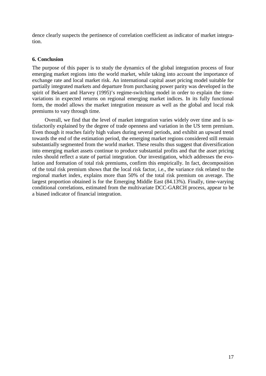dence clearly suspects the pertinence of correlation coefficient as indicator of market integration.

#### **6. Conclusion**

The purpose of this paper is to study the dynamics of the global integration process of four emerging market regions into the world market, while taking into account the importance of exchange rate and local market risk. An international capital asset pricing model suitable for partially integrated markets and departure from purchasing power parity was developed in the spirit of Bekaert and Harvey (1995)'s regime-switching model in order to explain the timevariations in expected returns on regional emerging market indices. In its fully functional form, the model allows the market integration measure as well as the global and local risk premiums to vary through time.

Overall, we find that the level of market integration varies widely over time and is satisfactorily explained by the degree of trade openness and variation in the US term premium. Even though it reaches fairly high values during several periods, and exhibit an upward trend towards the end of the estimation period, the emerging market regions considered still remain substantially segmented from the world market. These results thus suggest that diversification into emerging market assets continue to produce substantial profits and that the asset pricing rules should reflect a state of partial integration. Our investigation, which addresses the evolution and formation of total risk premiums, confirm this empirically. In fact, decomposition of the total risk premium shows that the local risk factor, i.e., the variance risk related to the regional market index, explains more than 50% of the total risk premium on average. The largest proportion obtained is for the Emerging Middle East (84.13%). Finally, time-varying conditional correlations, estimated from the multivariate DCC-GARCH process, appear to be a biased indicator of financial integration.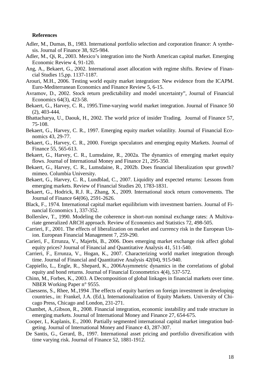#### **References**

- Adler, M., Dumas, B., 1983. International portfolio selection and corporation finance: A synthesis. Journal of Finance 38, 925-984.
- Adler, M., Qi, R., 2003. Mexico's integration into the North American capital market. Emerging Economic Review 4, 91-120.
- Ang, A., Bekaert, G., 2002. International asset allocation with regime shifts. Review of Financial Studies 15,pp. 1137-1187.
- Arouri, M.H., 2006. Testing world equity market integration: New evidence from the ICAPM. Euro-Mediterranean Economics and Finance Review 5, 6-15.
- Avramov, D., 2002. Stock return predictability and model uncertainty", Journal of Financial Economics 64(3), 423-58.
- Bekaert, G., Harvey, C. R., 1995.Time-varying world market integration. Journal of Finance 50 (2), 403-444.
- Bhattacharya, U., Daouk, H., 2002. The world price of insider Trading. Journal of Finance 57, 75-108.
- Bekaert, G., Harvey, C. R., 1997. Emerging equity market volatility. Journal of Financial Economics 43, 29-77.
- Bekaert, G., Harvey, C. R., 2000. Foreign speculators and emerging equity Markets. Journal of Finance 55, 565-613.
- Bekaert, G., Harvey, C. R., Lumsdaine, R., 2002a. The dynamics of emerging market equity flows. Journal of International Money and Finance 21, 295-350.
- Bekaert, G., Harvey, C. R., Lumsdaine, R., 2002b. Does financial liberalization spur growth? mimeo. Columbia University.
- Bekaert, G., Harvey, C. R., Lundblad, C., 2007. Liquidity and expected returns: Lessons from emerging markets. [Review of Financial Studies](http://rfs.oxfordjournals.org/) 20, 1783-1831.
- Bekaert, G., Hodrick, R.J. R., Zhang, X., 2009. International stock return comovements. [The](http://rfs.oxfordjournals.org/) Journal of Finance 64(06), 2591-2626.
- Black, F., 1974. International capital market equilibrium with investment barriers. Journal of Financial Economics 1, 337-352.
- Bollerslev, T., 1990. Modeling the coherence in short-run nominal exchange rates: A Multivariate generalized ARCH approach. Review of Economics and Statistics 72, 498-505.
- Carrieri, F., 2001. The effects of liberalization on market and currency risk in the European Union. European Financial Management 7, 259-290.
- Carieri, F., Errunza, V., Majerbi, B., 2006. Does emerging market exchange risk affect global equity prices? Journal of Financial and Quantitative Analysis 41, 511-540.
- Carrieri, F., Errunza, V., Hogan, K., 2007. Characterizing world market integration through time. Journal of Financial and Quantitative Analysis 42(04), 915-940.
- Cappiello, L., Engle, R., Shepard, K., 2006Asymmetric dynamics in the correlations of global equity and bond returns. Journal of Financial Econometrics 4(4), 537-572.
- Chinn, M., Forbes, K., 2003. A Decomposition of global linkages in financial markets over time. NBER Working Paper n° 9555.
- Claessens, S., Rhee, M.,1994 .The effects of equity barriers on foreign investment in developing countries., in: Frankel, J.A. (Ed.), Internationalization of Equity Markets. University of Chicago Press, Chicago and London, 231-271.
- Chambet, A.,Gibson, R., 2008. Financial integration, economic instability and trade structure in emerging markets. Journal of International Money and Finance 27, 654-675.
- Cooper, I., Kaplanis, E., 2000. Partially segmented international capital market integration budgeting. Journal of International Money and Finance 43, 287-307.
- De Santis, G., Gerard, B., 1997. International asset pricing and portfolio diversification with time varying risk. Journal of Finance 52, 1881-1912.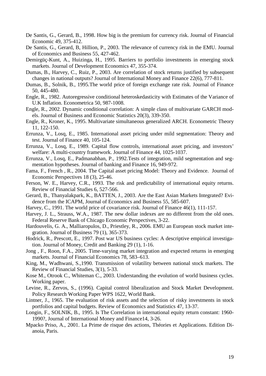- De Santis, G., Gerard, B., 1998. How big is the premium for currency risk. Journal of Financial Economic 49, 375-412.
- De Santis, G., Gerard, B, Hillion, P., 2003. The relevance of currency risk in the EMU. Journal of Economics and Business 55, 427-462.
- Demirgüç-Kunt, A., Huizinga, H., 1995. Barriers to portfolio investments in emerging stock markets. Journal of Development Economics 47, 355-374.
- Dumas, B., Harvey, C., Ruiz, P., 2003. Are correlation of stock returns justified by subsequent changes in national outputs? Journal of International Money and Finance 22(6), 777-811.
- Dumas, B., Solnik, B., 1995.The world price of foreign exchange rate risk. Journal of Finance 50, 445-480.
- Engle, R., 1982. Autoregressive conditional heteroskedasticity with Estimates of the Variance of U.K Inflation. Econometrica 50, 987-1008.
- Engle, R., 2002. Dynamic conditional correlation: A simple class of multivariate GARCH models. Journal of Business and Economic Statistics 20(3), 339-350.
- Engle, R., Kroner, K., 1995. Multivariate simultaneous generalized ARCH. Econometric Theory 11, 122-150.
- Errunza, V., Losq, E., 1985. International asset pricing under mild segmentation: Theory and test. Journal of Finance 40, 105-124.
- Errunza, V., Losq, E., 1989. Capital flow controls, international asset pricing, and investors' welfare: A multi-country framework. Journal of Finance 44, 1025-1037.
- Errunza, V., Losq, E., Padmanabhan, P., 1992.Tests of integration, mild segmentation and segmentation hypotheses. Journal of banking and Finance 16, 949-972.
- Fama, F., French , R., 2004. The Capital asset pricing Model: Theory and Evidence. Journal of Economic Perspectives 18 (3), 25-46.
- Ferson, W. E., Harvey, C.R., 1993. The risk and predictability of international equity returns. Review of Financial Studies 6, 527-566.
- Gerard, B., Thanyalakpark, K., BATTEN, J., 2003. Are the East Asian Markets Integrated? Evidence from the ICAPM, Journal of Economics and Business 55, 585-607.
- Harvey, C., 1991. The world price of covariance risk. Journal of Finance 46(1), 111-157.
- Harvey, J. L., Strauss, W.A., 1987. The new dollar indexes are no different from the old ones. Federal Reserve Bank of Chicago Economic Perspectives, 3-22.
- Hardouvelis, G. A., Malliaropulos, D., Priestley, R., 2006. EMU an European stock market integration. Journal of Business 79 (1), 365-373.
- Hodrick, R., Prescott, E., 1997. Post war US business cycles: A descriptive empirical investigation. Journal of Money, Credit and Banking 29 (1), 1-16.
- Jong , F., Roon, F.A., 2005. Time-varying market integration and expected returns in emerging markets. Journal of Financial Economics 78, 583–613.
- King, M., Wadhwani, S.,1990. Transmission of volatility between national stock markets. The Review of Financial Studies, 3(1), 5-33.
- Kose M., Otrook C., Whiteman C., 2003. Understanding the evolution of world business cycles. Working paper.
- Levine, R., Zervos, S., (1996). Capital control liberalization and Stock Market Development. Policy Research Working Paper WPS 1622, World Bank.
- Lintner, J., 1965. The evaluation of risk assets and the selection of risky investments in stock portfolios and capital budgets. Review of Economics and Statistics 47, 13-37.
- Longin, F., SOLNIK, B., 1995. Is The Correlation in international equity return constant: 1960- 1990?, Journal of International Money and Finance14, 3-26.
- Mpacko Priso, A., 2001. La Prime de risque des actions, Théories et Applications. Edition Dianoia, Paris.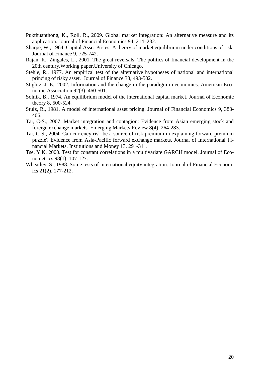- Pukthuanthong, K., Roll, R., 2009. Global market integration: An alternative measure and its application. Journal of Financial Economics 94, 214–232.
- Sharpe, W., 1964. Capital Asset Prices: A theory of market equilibrium under conditions of risk. Journal of Finance 9, 725-742.
- Rajan, R., Zingales, L., 2001. The great reversals: The politics of financial development in the 20th century.Working paper.University of Chicago.
- Stehle, R., 1977. An empirical test of the alternative hypotheses of national and international princing of risky asset. Journal of Finance 33, 493-502.
- Stiglitz, J. E., 2002. Information and the change in the paradigm in economics. American Economic Association 92(3), 460-501.
- Solnik, B., 1974. An equilibrium model of the international capital market. Journal of Economic theory 8, 500-524.
- Stulz, R., 1981. A model of international asset pricing. Journal of Financial Economics 9, 383- 406.
- Tai, C-S., 2007. Market integration and contagion: Evidence from Asian emerging stock and foreign exchange markets. Emerging Markets Review 8(4), 264-283.
- Tai, C-S., 2004. Can currency risk be a source of risk premium in explaining forward premium puzzle? Evidence from Asia-Pacific forward exchange markets. Journal of International Financial Markets, Institutions and Money 13, 291-311.
- Tse, Y.K, 2000. Test for constant correlations in a multivariate GARCH model. Journal of Econometrics 98(1), 107-127.
- Wheatley, S., 1988. Some tests of international equity integration. Journal of Financial Economics 21(2), 177-212.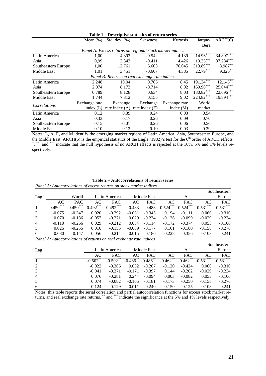|                                                          | Mean $(\%)$                                    | Std. dev. $(\%)$ | Skewness         | Kurtosis      | Jarque-       | ARCH(6)            |  |
|----------------------------------------------------------|------------------------------------------------|------------------|------------------|---------------|---------------|--------------------|--|
|                                                          |                                                |                  |                  |               | Bera          |                    |  |
| Panel A: Excess returns on regional stock market indices |                                                |                  |                  |               |               |                    |  |
| Latin America                                            | 1,00                                           | 4.393            | $-0.542$         | 4.139         | $14.96^{+++}$ | $34.897^{+\!+\!+}$ |  |
| Asia                                                     | 0.99                                           | 2.343            | $-0.411$         | 4.426         | $19.35***$    | $37.284***$        |  |
| Southeastern Europe                                      | 1,00                                           | 12.761           | 6.603            | 76.045        | $313.89^{++}$ | $8.987^{++}$       |  |
| Middle East                                              | 1,01                                           | 3.451            | $-0.607$         | 4.385         | $22.79***$    | $9.326^{++}$       |  |
|                                                          | Panel B: Returns on real exchange rate indices |                  |                  |               |               |                    |  |
| Latin America                                            | 2.248                                          | 10.04            | 0.766            | 8,45          | $191.34***$   | $12.145^{++}$      |  |
| Asia                                                     | 2.074                                          | 8.173            | $-0.714$         | 8,02          | $169.96***$   | $25.044***$        |  |
| Southeastern Europe                                      | 0.789                                          | 8.128            | 0.634            | 8,03          | $180.82^{++}$ | $22.696^{***}$     |  |
| Middle East                                              | 1.744                                          | 7.312            | 0.155            | 9,02          | $224.82***$   | $19.894***$        |  |
| Correlations                                             | Exchange rate                                  | Exchange         | Exchange         | Exchange rate | World         |                    |  |
|                                                          | index $(L)$                                    | rate index $(A)$ | rate index $(E)$ | index $(M)$   | market        |                    |  |
| Latin America                                            | 0.12                                           | 0.39             | 0.24             | 0.03          | 0.54          |                    |  |
| Asia                                                     | 0.33                                           | 0.17             | 0.26             | 0.09          | 0.70          |                    |  |
| Southeastern Europe                                      | 0.15                                           | $-0.01$          | 0.26             | 0.06          | 0.56          |                    |  |
| Middle East                                              | 0.10                                           | 0.12             | 0.10             | 0.03          | 0.39          |                    |  |

**Table 1 – Descriptive statistics of return series**

Notes: L, A, E, and M identify the emerging market regions of Latin America, Asia, Southeastern Europe, and the Middle East. ARCH(6) is the empirical statistics of the Engle (1982)'s test for the 6<sup>th</sup> order of ARCH effects.<br>  $+$  <sup>+</sup> + and <sup>+++</sup> indicate that the null hypothesis of no APCH effects is rejected at the 10% 5% and <sup>+</sup>, <sup>++</sup>, and <sup>+++</sup> indicate that the null hypothesis of no ARCH effects is rejected at the 10%, 5% and 1% levels respectively.

| Table 2 – Autocorrelations of return series |  |
|---------------------------------------------|--|
|---------------------------------------------|--|

| Panel A: Autocorrelations of excess returns on stock market indices |                                                                    |             |             |               |             |               |                        |             |                 |              |
|---------------------------------------------------------------------|--------------------------------------------------------------------|-------------|-------------|---------------|-------------|---------------|------------------------|-------------|-----------------|--------------|
|                                                                     |                                                                    |             |             |               |             |               |                        |             |                 | Southeastern |
| Lag                                                                 |                                                                    | World       |             | Latin America |             | Middle East   |                        | Asia        |                 | Europe       |
|                                                                     | AC                                                                 | <b>PAC</b>  | AC          | <b>PAC</b>    | AC          | <b>PAC</b>    | AC                     | <b>PAC</b>  | AC              | PAC          |
| -1                                                                  | $-0.450^{\circ}$                                                   | $-0.450***$ | $-0.492***$ | $-0.492***$   | $-0.483$    | $-0.483$      | $-0.524$ <sup>**</sup> | $-0.524***$ | ***<br>$-0.531$ | $-0.531***$  |
| 2                                                                   | $-0.075$                                                           | $-0.347$    | 0.020       | $-0.292$      | $-0.031$    | $-0.345$      | 0.194                  | $-0.111$    | 0.060           | $-0.310$     |
| 3                                                                   | 0.070                                                              | $-0.186$    | $-0.057$    | $-0.271$      | 0.029       | $-0.234$      | $-0.126$               | $-0.099$    | $-0.029$        | $-0.234$     |
| $\overline{4}$                                                      | $-0.110$                                                           | $-0.266$    | 0.029       | $-0.212$      | 0.034       | $-0.114$      | $-0.172$               | $-0.374$    | 0.053           | $-0.106$     |
| 5                                                                   | 0.025                                                              | $-0.255$    | 0.010       | $-0.155$      | $-0.089$    | $-0.177$      | 0.161                  | $-0.180$    | $-0.158$        | $-0.276$     |
| 6                                                                   | 0.080                                                              | $-0.147$    | $-0.056$    | $-0.214$      | 0.015       | $-0.186$      | $-0.228$               | $-0.356$    | 0.103           | $-0.241$     |
|                                                                     | Panel A: Autocorrelations of returns on real exchange rate indices |             |             |               |             |               |                        |             |                 |              |
|                                                                     |                                                                    |             |             |               |             |               |                        |             |                 | Southeastern |
| Lag                                                                 |                                                                    |             |             | Latin America |             | Middle East   |                        | Asia        |                 | Europe       |
|                                                                     |                                                                    |             | AC          | <b>PAC</b>    | AC          | <b>PAC</b>    | AC                     | <b>PAC</b>  | AC              | <b>PAC</b>   |
| $\mathbf{1}$                                                        |                                                                    |             | $-0.502**$  | $-0.502$ **   | $-0.486$ ** | $-0.486^{**}$ | $-0.462$ **            | $-0.462$    | ***<br>$-0.531$ | $-0.531***$  |
| $\overline{2}$                                                      |                                                                    |             | $-0.022$    | $-0.366$      | 0.032       | $-0.267$      | $-0.120$               | $-0.424$    | 0.060           | $-0.310$     |
| 3                                                                   |                                                                    |             | $-0.041$    | $-0.371$      | $-0.171$    | $-0.397$      | 0.144                  | $-0.202$    | $-0.029$        | $-0.234$     |
| $\overline{4}$                                                      |                                                                    |             | 0.076       | $-0.281$      | 0.244       | $-0.094$      | 0.003                  | $-0.082$    | 0.053           | $-0.106$     |
| 5                                                                   |                                                                    |             | 0.074       | $-0.082$      | $-0.165$    | $-0.181$      | $-0.173$               | $-0.250$    | $-0.158$        | $-0.276$     |
| 6                                                                   |                                                                    |             | $-0.124$    | $-0.129$      | 0.011       | $-0.240$      | 0.150                  | $-0.125$    | 0.103           | $-0.241$     |

Notes: this table reports the serial correlation and partial autocorrelation functions for excess stock market returns, and real exchange rate returns. \*\*\* and \*\*\* indicate the significance at the 5% and 1% levels respectively.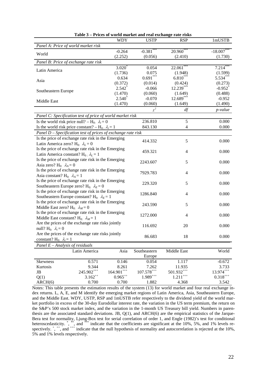| Panel A: Price of world market risk<br>$-0.381$<br>$20.960^*$<br>$-0.264$<br>$-18.007$ **<br>World<br>(2.252)<br>(0.056)<br>(2.410)<br>(1.730)<br>Panel B: Price of exchange rate risk<br>3.020<br>0.054<br>22.061<br>$7.214$ <sup>*</sup><br>Latin America<br>(1.736)<br>0.075<br>(1.948)<br>(1.599)<br>$0.691***$<br>$6.810***$<br>5.534***<br>0.634<br>Asia<br>(0.372)<br>(0.014)<br>(0.424)<br>(0.273) |
|------------------------------------------------------------------------------------------------------------------------------------------------------------------------------------------------------------------------------------------------------------------------------------------------------------------------------------------------------------------------------------------------------------|
|                                                                                                                                                                                                                                                                                                                                                                                                            |
|                                                                                                                                                                                                                                                                                                                                                                                                            |
|                                                                                                                                                                                                                                                                                                                                                                                                            |
|                                                                                                                                                                                                                                                                                                                                                                                                            |
|                                                                                                                                                                                                                                                                                                                                                                                                            |
|                                                                                                                                                                                                                                                                                                                                                                                                            |
|                                                                                                                                                                                                                                                                                                                                                                                                            |
|                                                                                                                                                                                                                                                                                                                                                                                                            |
| 12.239***<br>$2.542^*$<br>$-0.066$<br>$-0.952$ <sup>*</sup>                                                                                                                                                                                                                                                                                                                                                |
| Southeastern Europe<br>(1.470)<br>(0.060)<br>(0.488)<br>(1.649)                                                                                                                                                                                                                                                                                                                                            |
| $12.689***$<br>$2.540^*$<br>$-0.070$<br>$-0.952$                                                                                                                                                                                                                                                                                                                                                           |
| Middle East<br>(1.470)<br>(0.060)<br>(1.490)<br>(1.649)                                                                                                                                                                                                                                                                                                                                                    |
| $\chi^2$<br>df<br>p-value                                                                                                                                                                                                                                                                                                                                                                                  |
| Panel C: Specification test of price of world market risk                                                                                                                                                                                                                                                                                                                                                  |
| 5<br>236.810<br>0.000<br>Is the world risk price null? – H <sub>0:</sub> $\lambda_i = 0$                                                                                                                                                                                                                                                                                                                   |
| 0.000<br>843.130<br>4                                                                                                                                                                                                                                                                                                                                                                                      |
| Is the world risk price constant? - H <sub>0</sub> : $\lambda_i = 1$                                                                                                                                                                                                                                                                                                                                       |
| Panel D - Specification test of prices of exchange rate risk                                                                                                                                                                                                                                                                                                                                               |
| Is the price of exchange rate risk in the Emerging<br>5<br>0.000<br>414.332                                                                                                                                                                                                                                                                                                                                |
| Latin America zero? H <sub>0:</sub> $\lambda_L = 0$                                                                                                                                                                                                                                                                                                                                                        |
| Is the price of exchange rate risk in the Emerging<br>0.000<br>459.321<br>$\overline{4}$                                                                                                                                                                                                                                                                                                                   |
| Latin America constant? H <sub>0:</sub> $\lambda_L = 1$                                                                                                                                                                                                                                                                                                                                                    |
| Is the price of exchange rate risk in the Emerging<br>0.000<br>2243.607<br>5                                                                                                                                                                                                                                                                                                                               |
| Asia zero? H <sub>0:</sub> $\lambda_A = 0$                                                                                                                                                                                                                                                                                                                                                                 |
| Is the price of exchange rate risk in the Emerging<br>7929.783<br>0.000<br>4                                                                                                                                                                                                                                                                                                                               |
| Asia constant? H <sub>0:</sub> $\lambda_A = 1$                                                                                                                                                                                                                                                                                                                                                             |
| Is the price of exchange rate risk in the Emerging<br>229.320<br>5<br>0.000                                                                                                                                                                                                                                                                                                                                |
| Southeastern Europe zero? $H_0$ : $\lambda_E = 0$                                                                                                                                                                                                                                                                                                                                                          |
| Is the price of exchange rate risk in the Emerging<br>1286.840<br>0.000<br>4                                                                                                                                                                                                                                                                                                                               |
| Southeastern Europe constant? H <sub>0:</sub> $\lambda_E = 1$                                                                                                                                                                                                                                                                                                                                              |
| Is the price of exchange rate risk in the Emerging<br>243.590<br>5<br>0.000                                                                                                                                                                                                                                                                                                                                |
| Middle East zero? H <sub>0:</sub> $\lambda_M = 0$                                                                                                                                                                                                                                                                                                                                                          |
| Is the price of exchange rate risk in the Emerging<br>1272.000<br>0.000<br>4                                                                                                                                                                                                                                                                                                                               |
| Middle East constant? H <sub>0:</sub> $\lambda_M = 1$                                                                                                                                                                                                                                                                                                                                                      |
| Are the prices of the exchange rate risks jointly<br>116.692<br>20<br>0.000                                                                                                                                                                                                                                                                                                                                |
| null? $H_0$ : $\lambda_i = 0$                                                                                                                                                                                                                                                                                                                                                                              |
| Are the prices of the exchange rate risks jointly<br>0.000<br>86.683<br>18                                                                                                                                                                                                                                                                                                                                 |
| constant? $H_0$ : $\lambda_i = 1$                                                                                                                                                                                                                                                                                                                                                                          |
| Panel $E$ – Analysis of residuals                                                                                                                                                                                                                                                                                                                                                                          |
| World<br>Asia<br>Middle East<br>Latin America<br>Southeastern                                                                                                                                                                                                                                                                                                                                              |
| Europe                                                                                                                                                                                                                                                                                                                                                                                                     |
| 0.571<br>1.117<br>0.146<br>$-0.672$<br>0.054<br><b>Skewness</b>                                                                                                                                                                                                                                                                                                                                            |
| 9.344<br>7.262<br>11.935<br>3.733<br>Kurtosis<br>8.261                                                                                                                                                                                                                                                                                                                                                     |
| $245.902^{++}$<br>$164.901***$<br>$107.578^{++}$<br>$501.932^{***}$<br>$13.974***$<br>JB                                                                                                                                                                                                                                                                                                                   |
| $0.318^{\rm ++}$<br>$3.162^{++}$<br>$0.965^{++}$<br>$1.989***$<br>$1.211$ <sup>+++</sup><br>Q(1)                                                                                                                                                                                                                                                                                                           |
| ARCH(6)<br>0.700<br>0.700<br>1.882<br>4.368<br>3.542                                                                                                                                                                                                                                                                                                                                                       |

**Table 3 – Prices of world market and real exchange rate risks**

Notes: This table presents the estimation results of the system (13) for world market and four real exchange index returns. L, A, E, and M identify the emerging market regions of Latin America, Asia, Southeastern Europe, and the Middle East. WDY, USTP, RSP and 1mUSTB refer respectively to the dividend yield of the world market portfolio in excess of the 30-day Eurodollar interest rate, the variation in the US term premium, the return on the S&P's 500 stock market index, and the variation in the 1-month US Treasury bill yield. Numbers in parenthesis are the associated standard deviations. JB, Q(1), and ARCH(6) are the empirical statistics of the Jarque-Bera test for normality, Ljung-Box test for serial correlation of order 1, and Engle (1982)'s test for conditional heteroscedasticity. ", \*\*, and \*\*\*\* indicate that the coefficients are significant at the 10%, 5%, and 1% levels respectively.  $^+$ ,  $^+$ , and  $^{++}$  indicate that the null hypothesis of normality and autocorrelation is rejected at the 10%, 5% and 1% levels respectively.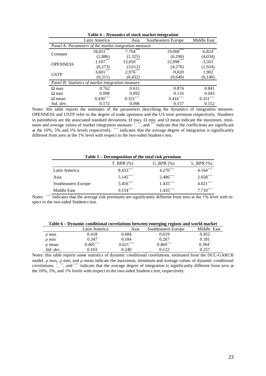| <b>D</b> , mannes of stoch mat nee meet atton         |               |             |                        |                        |  |  |
|-------------------------------------------------------|---------------|-------------|------------------------|------------------------|--|--|
| Latin America<br>Southeastern Europe<br>Asia          |               |             |                        | Middle East            |  |  |
| Panel A: Parameters of the market integration measure |               |             |                        |                        |  |  |
|                                                       | $18,051***$   | $7,764***$  | $19,060***$            | $-6,824$ <sup>*</sup>  |  |  |
| Constant                                              | (2,886)       | (2,325)     | (6,290)                | (4,034)                |  |  |
|                                                       | $1,107***$    | $13,050***$ | $12,998***$            | $-3,503$ <sup>*</sup>  |  |  |
| <b>OPENNESS</b>                                       | (0,273)       | (3,612)     | (4,276)                | (1,924)                |  |  |
| <b>USTP</b>                                           | $3,601***$    | $2,976***$  | $-9,820$               | $1,902^*$              |  |  |
|                                                       | (0,311)       | (0, 432)    | (9,640)                | (0,140)                |  |  |
| Panel B: Statistics of market integration measure     |               |             |                        |                        |  |  |
| $\Omega$ max                                          | 0.762         | 0.611       | 0.874                  | 0.841                  |  |  |
| $\Omega$ min                                          | 0.098         | 0.092       | 0.116                  | 0.043                  |  |  |
| $\Omega$ mean                                         | $0.430^{***}$ | $0.321***$  | $0.416$ <sup>***</sup> | $0.351$ <sup>+++</sup> |  |  |
| Std. dev.                                             | 0.172         | 0.096       | 0.157                  | 0.152                  |  |  |

Notes: this table reports the estimates of the parameters describing the dynamics of integration measure. OPENNESS and USTP refer to the degree of trade openness and the US term premium respectively. Numbers in parenthesis are the associated standard deviations.  $\Omega$  max,  $\Omega$  min, and  $\Omega$  mean indicate the maximum, minimum and average values of market integration measure.<sup>\*</sup>,<sup>\*\*</sup>, and <sup>\*\*\*</sup> indicate that the coefficients are significant at the 10%, 5% and 1% levels respectively.  $^{++}$  indicates that the average degree of integration is significantly different from zero at the 1% level with respect to the two-sided Student-t test.

| Table 5 – Decomposition of the total risk premium |               |               |               |  |  |
|---------------------------------------------------|---------------|---------------|---------------|--|--|
|                                                   | $T_RPR(\%)$   | $G_RPR(\%)$   | L_RPR $(\%)$  |  |  |
| Latin America                                     | $8.433***$    | $4.270^{++}$  | $4.164***$    |  |  |
| Asia                                              | $5.145^{+++}$ | $2.486^{++}$  | $2.658^{++}$  |  |  |
| Southeastern Europe                               | $5.456^{+++}$ | $1.435^{+++}$ | $4.021^{+++}$ |  |  |
| Middle East                                       | $9154^{+++}$  | $1.435^{+++}$ | $7.710^{++}$  |  |  |

Notes: <sup>+++</sup> indicates that the average risk premiums are significantly different from zero at the 1% level with respect to the two-sided Student-t test.

| Table 6 – Dynamic conditional correlations between emerging regions and world market |  |  |
|--------------------------------------------------------------------------------------|--|--|
|--------------------------------------------------------------------------------------|--|--|

|            | Latin America | Asia          | Southeastern Europe | Middle East |
|------------|---------------|---------------|---------------------|-------------|
| p max      | 0.418         | 0.684         | 0.619               | 0.452       |
| $\rho$ min | 0.347         | 0.184         | 0.267               | 0.181       |
| p mean     | $0.405***$    | $0.621^{+++}$ | $0.469^{+++}$       | $0.394^{+}$ |
| Std. dev.  | 0.103         | 0.240         | 0.122               | 0.257       |

Notes: this table reports some statistics of dynamic conditional correlations, estimated from the DCC-GARCH model. ρ max, ρ min, and ρ mean indicate the maximum, minimum and average values of dynamic conditional correlations.  $\alpha$ ,  $\alpha$ ,  $\alpha$ ,  $\alpha$ ,  $\alpha$ ,  $\alpha$ ,  $\alpha$ ,  $\alpha$ , the average degree of integration is significantly different from zero at the 10%, 5%, and 1% levels with respect to the two-sided Student-t test, respectively.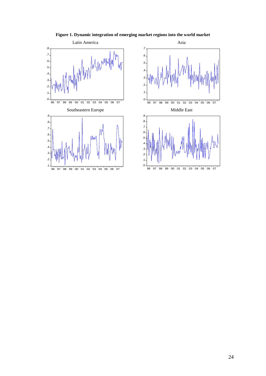



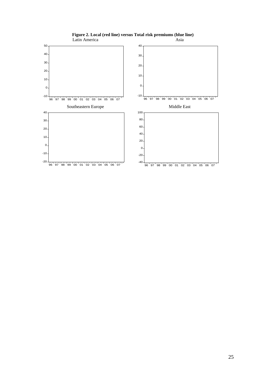

### **Figure 2. Local (red line) versus Total risk premiums (blue line)**